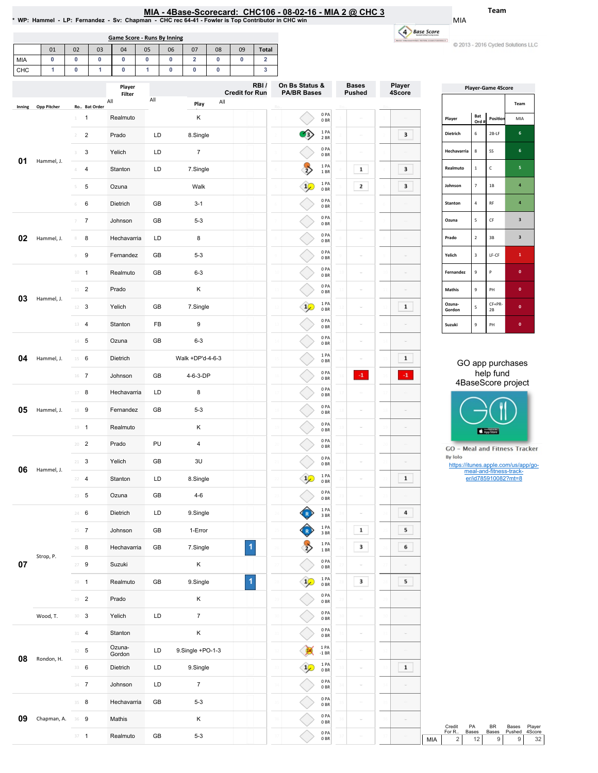## MIA - 4Base-Scorecard: CHC106 - 08-02-16 - MIA 2 @ CHC 3 ـ MIA 2 .<br>WP: Hammel - LP: Fernandez - Sv: Chapman - CHC rec 64-41 - Fowler is Top Contributor in CHC win \*

Game Score - Runs By Inning

Team

| <b>Base Score</b> |  |
|-------------------|--|
|                   |  |

MIA

.<br>Net fertilis exportantino ( C 2013 - 2016 Cycled Solutions LLC

|                  | 01                       | 02                               | 03            | 04                       | 05                            | 06                      | 07                            | 08                         | 09                   | <b>Total</b>                         |                        |                               |                    |                  |                                                |                           |                                                | 6 2019 - SQ 10 CACIGO SQUIDOUS ELC           |
|------------------|--------------------------|----------------------------------|---------------|--------------------------|-------------------------------|-------------------------|-------------------------------|----------------------------|----------------------|--------------------------------------|------------------------|-------------------------------|--------------------|------------------|------------------------------------------------|---------------------------|------------------------------------------------|----------------------------------------------|
| MIA<br>CHC       | $\bf{0}$<br>$\mathbf{1}$ | $\bf{0}$<br>$\mathbf 0$          | $\bf{0}$<br>1 | $\mathbf 0$<br>$\pmb{0}$ | $\bf{0}$<br>$\mathbf{1}$      | $\bf{0}$<br>$\mathbf 0$ | $\overline{2}$<br>$\mathbf 0$ | $\mathbf 0$<br>$\mathbf 0$ | $\bf{0}$             | $\overline{2}$<br>$\mathbf 3$        |                        |                               |                    |                  |                                                |                           |                                                |                                              |
|                  |                          |                                  |               | Player<br>Filter         | RBI/<br><b>Credit for Run</b> |                         |                               |                            |                      | On Bs Status &<br><b>PA/BR Bases</b> |                        | <b>Bases</b><br><b>Pushed</b> | Player<br>4Score   |                  |                                                | <b>Player-Game 4Score</b> |                                                |                                              |
| Inning           | <b>Opp Pitcher</b>       | Ro Bat Order                     | All           |                          | All                           |                         | Play                          | All                        |                      |                                      |                        |                               |                    |                  |                                                |                           |                                                | Team                                         |
|                  |                          | $\overline{1}$<br>$1\,$          |               | Realmuto                 |                               |                         | Κ                             |                            |                      |                                      |                        | 0PA<br>0 <sub>BR</sub>        |                    |                  | Player                                         | Bat<br>Ord i              | Position                                       | MIA                                          |
|                  |                          | $\overline{2}$<br>$\overline{2}$ |               | Prado                    | LD                            |                         | 8.Single                      |                            |                      |                                      | ್ರಾ                    | 1 PA<br>2 BR                  |                    | 3                | Dietrich                                       | 6                         | $2B-LF$                                        | 6 <sub>1</sub>                               |
|                  |                          | $\sqrt{3}$<br>$3 -$              |               | Yelich                   | LD                            |                         | $\overline{7}$                |                            |                      |                                      |                        | 0PA<br>0B                     |                    |                  | Hechavarria                                    | 8                         | SS                                             | 6 <sub>1</sub>                               |
| 01               | Hammel, J.               | $\overline{4}$<br>4              |               | Stanton                  | LD                            |                         | 7.Single                      |                            |                      |                                      | $\rightarrow$          | 1 PA<br>1 BR                  | $\mathbf 1$        | 3                | Realmuto                                       | $1\,$                     | $\mathsf{C}$                                   | $\sqrt{5}$                                   |
|                  |                          | $\sqrt{5}$<br>5                  |               | Ozuna                    |                               |                         | Walk                          |                            |                      |                                      | $\frac{1}{2}$          | 1PA<br>0BR                    | $\mathbf{z}$       | 3                | Johnson                                        | $\scriptstyle\rm 7$       | $1\mathrm{B}$                                  | $\overline{\mathbf{4}}$                      |
|                  |                          | $\,6\,$<br>6                     |               | Dietrich                 | GB                            |                         | $3 - 1$                       |                            |                      |                                      |                        | 0PA<br>0 <sub>BR</sub>        |                    |                  | Stanton                                        | $\overline{4}$            | $\mathsf{RF}$                                  | $\overline{\mathbf{4}}$                      |
|                  |                          | $\overline{7}$<br>$7 -$          |               | Johnson                  | GB                            |                         | $5 - 3$                       |                            |                      |                                      |                        | 0PA<br>0BR                    | i.                 |                  | Ozuna                                          | 5                         | $\mathsf{CF}$                                  | $\mathbf{3}$                                 |
| 02               | Hammel, J.               | 8<br>8                           |               | Hechavarria              | LD                            |                         | 8                             |                            |                      |                                      |                        | 0PA<br>0 <sub>BR</sub>        | $\zeta_{\rm esc}$  |                  | Prado                                          | $\overline{2}$            | $3B$                                           | $\mathbf{3}$                                 |
|                  |                          | 9<br>9                           |               | Fernandez                | GB                            |                         | $5 - 3$                       |                            |                      |                                      |                        | 0PA<br>0 <sub>BR</sub>        | $\sim$             |                  | Yelich                                         | $\mathbf{3}$              | LF-CF                                          | $\mathbf 1$                                  |
|                  |                          | $10 - 1$                         |               | Realmuto                 | GB                            |                         | $6 - 3$                       |                            |                      |                                      |                        | 0PA<br>0 <sub>BR</sub>        | $\bar{a}$          |                  | Fernandez                                      | 9                         | P                                              | $\pmb{0}$                                    |
|                  |                          | $11$ 2                           |               | Prado                    |                               |                         | Κ                             |                            |                      |                                      |                        | 0PA<br>0BR                    | $\bar{m}$          |                  | Mathis                                         | $\mathbf 9$               | PH                                             | $\pmb{\mathsf{o}}$                           |
| 03<br>Hammel, J. | $12 - 3$                 |                                  | Yelich        | GB                       |                               | 7.Single                |                               |                            |                      | $\frac{1}{2}$                        | 1PA<br>0 <sub>BR</sub> | $\bar{a}$                     | $\mathbf{1}$       | Ozuna-<br>Gordon | 5                                              | $CF+PR-$<br>$2B$          | $\pmb{\mathsf{o}}$                             |                                              |
|                  | $13 - 4$                 |                                  | Stanton       | FB                       |                               | 9                       |                               |                            |                      |                                      | 0PA<br>0 <sub>BR</sub> |                               |                    | Suzuki           | 9                                              | PH                        | $\mathbf{0}^-$                                 |                                              |
|                  |                          | $14 - 5$                         |               | Ozuna                    | GB                            |                         | $6 - 3$                       |                            |                      |                                      |                        | 0PA<br>0 <sub>BR</sub>        | ö                  |                  |                                                |                           |                                                |                                              |
| 04               | Hammel, J.               | $15 - 6$                         |               | Dietrich                 |                               |                         | Walk +DP'd-4-6-3              |                            |                      |                                      |                        | 1PA<br>0 <sub>BR</sub>        |                    | $\mathbf{1}$     |                                                |                           | GO app purchases                               |                                              |
|                  |                          | $16 - 7$                         |               | Johnson                  | GB                            |                         | 4-6-3-DP                      |                            |                      |                                      |                        | 0PA<br>0 <sub>BR</sub>        | $\mathbf{-1}$      | $\cdot 1$        |                                                |                           | help fund                                      |                                              |
|                  |                          | $17 - 8$                         |               | Hechavarria              | LD                            |                         | 8                             |                            |                      |                                      |                        | 0PA<br>0 <sub>BR</sub>        |                    |                  |                                                |                           | 4BaseScore project                             |                                              |
| 05               | Hammel, J.               | 18 9                             |               | Fernandez                | GB                            | $5 - 3$                 |                               |                            |                      | 0PA<br>0BR                           |                        |                               |                    |                  |                                                |                           |                                                |                                              |
|                  |                          | $19 - 1$                         |               | Realmuto                 |                               |                         | К                             |                            |                      |                                      |                        | 0PA<br>0B                     | $\bar{\omega}$     |                  |                                                |                           | App Store                                      |                                              |
|                  |                          | $20 - 2$                         |               | Prado                    | PU                            |                         | $\overline{4}$                |                            |                      |                                      |                        | 0PA<br>0BR                    | $\bar{t}$          |                  | GO - Meal and Fitness Tracker                  |                           |                                                |                                              |
|                  |                          | $21 - 3$                         |               | Yelich                   | GB                            |                         | 3U                            |                            |                      |                                      |                        | 0PA<br>0 <sub>BR</sub>        | $\sim$             |                  | By Iolo<br>https://itunes.apple.com/us/app/go- |                           |                                                |                                              |
| 06               | Hammel, J.               | $22 - 4$                         |               | Stanton                  | LD                            |                         | 8.Single                      |                            |                      |                                      | $\mathcal{P}$          | 1 PA<br>0 <sub>BR</sub>       |                    | $\mathbf 1$      |                                                |                           | meal-and-fitness-track-<br>er/id785910082?mt=8 |                                              |
|                  |                          | $23 - 5$                         |               | Ozuna                    | GB                            |                         | $4-6$                         |                            |                      |                                      |                        | 0PA<br>0 <sub>BR</sub>        |                    |                  |                                                |                           |                                                |                                              |
|                  |                          | $24 - 6$                         |               | Dietrich                 | LD                            |                         | 9.Single                      |                            |                      |                                      |                        | 1 PA<br>3BR                   |                    | 4                |                                                |                           |                                                |                                              |
|                  |                          | $25 \t{7}$                       |               | Johnson                  | GB                            |                         | 1-Error                       |                            |                      |                                      | R                      | 1 PA<br>3BR                   | $\mathbf{1}$       | 5                |                                                |                           |                                                |                                              |
|                  |                          | $26 - 8$                         |               | Hechavarria              | GB                            |                         | 7.Single                      |                            | $\blacktriangleleft$ |                                      | $\ddot{z}$             | 1 PA<br>1 BR                  | 3                  | 6                |                                                |                           |                                                |                                              |
| 07               | Strop, P.                | $27 - 9$                         |               | Suzuki                   |                               |                         | Κ                             |                            |                      |                                      |                        | 0PA<br>0 <sub>BR</sub>        |                    |                  |                                                |                           |                                                |                                              |
|                  |                          | $28 - 1$                         |               | Realmuto                 | GB                            |                         | 9.Single                      |                            | 1                    |                                      | $\mathcal{L}$          | 1PA<br>0BR                    | $\mathbf{3}$       | $5\phantom{a}$   |                                                |                           |                                                |                                              |
|                  |                          | $29 - 2$                         |               | Prado                    |                               |                         | Κ                             |                            |                      |                                      |                        | 0PA<br>0BR                    |                    |                  |                                                |                           |                                                |                                              |
|                  | Wood, T.                 | $30-3$                           |               | Yelich                   | LD                            |                         | $\overline{7}$                |                            |                      |                                      |                        | 0PA<br>0BR                    | $\sim$             | $\sim$           |                                                |                           |                                                |                                              |
|                  |                          | 31 4                             |               | Stanton                  |                               |                         | Κ                             |                            |                      |                                      |                        | 0PA<br>0BR                    | $\zeta_{\rm{max}}$ |                  |                                                |                           |                                                |                                              |
|                  |                          | $32 - 5$                         |               | Ozuna-<br>Gordon         | LD                            |                         | 9.Single +PO-1-3              |                            |                      |                                      |                        | 1 PA<br>$-1$ BR               | $\sim$             |                  |                                                |                           |                                                |                                              |
| 08               | Rondon, H.               | 33 6                             |               | Dietrich                 | LD                            |                         | 9.Single                      |                            |                      |                                      | $\rightarrow$          | 1 PA<br>0BR                   | $\bar{m}$          | $\mathbf{1}$     |                                                |                           |                                                |                                              |
|                  |                          | $34 - 7$                         |               | Johnson                  | LD                            |                         | $\overline{7}$                |                            |                      |                                      |                        | 0PA<br>0 <sub>BR</sub>        | $\bar{t}$          |                  |                                                |                           |                                                |                                              |
|                  |                          | 35 8                             |               | Hechavarria              | GB                            |                         | $5 - 3$                       |                            |                      |                                      |                        | 0PA<br>0 <sub>BR</sub>        | $\sim$             |                  |                                                |                           |                                                |                                              |
| 09               | Chapman, A.              | 36 9                             |               | Mathis                   |                               |                         | Κ                             |                            |                      |                                      |                        | 0PA<br>0 <sub>BR</sub>        | $\zeta_{\rm esc}$  | $\bar{m}$        |                                                |                           |                                                |                                              |
|                  |                          | $37 - 1$                         |               | Realmuto                 | GB                            |                         | $5 - 3$                       |                            |                      |                                      |                        | 0PA<br>0 B R                  |                    |                  | Credit<br>For R<br>$\sqrt{2}$<br>MIA           | PA<br>Bases<br>12         | <b>BR</b><br>Bases<br>$\mathsf g$              | Bases<br>Player<br>Pushed<br>4Score<br>$9\,$ |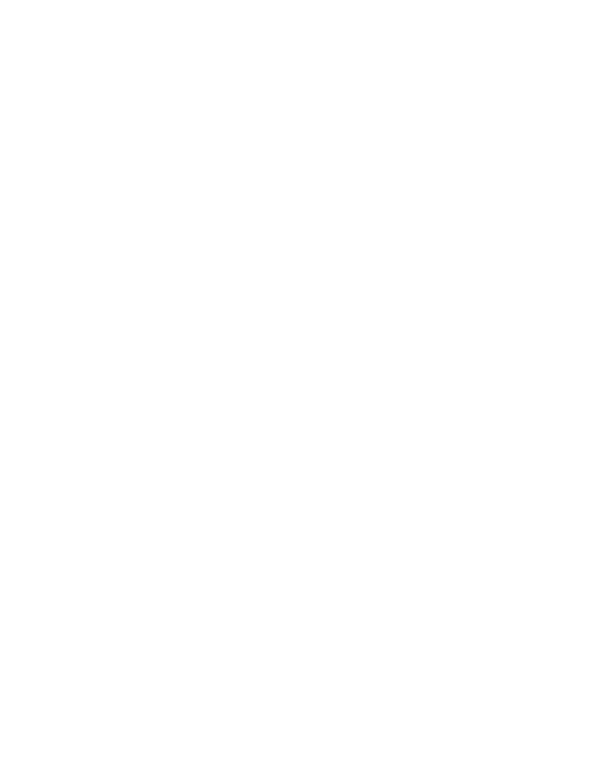| ìí<br>ìð<br>ìî<br>ìΪ<br>ìñ<br>ìò<br>ìó<br>ìô<br>ìõ<br>d}šo<br>$0,$ \$<br>$8 + 8$<br>%DVHV<br>30 NU<br>$5\%$<br>2 Q%V 6 VDWXV<br>Wb Ç Œ<br>WoÇŒ u ð^}Œ<br>& UHGLWIRU5 XQ<br>3\$ %5 %DVHV<br>3 XVKHG<br>6FRUH<br>&]oš Œ<br>$\pmb{\circledcirc}$<br>$\pmb{\circledcirc}$<br>$\pmb{\circledcirc}$<br>WoÇ<br>d u<br>/vv]vP K‰WjšZ0E<br>Z} XX ŠKŒ C<br>i W<br>$\frac{\check{\mathbf{S}}}{\mathsf{K} \times \mathsf{S}}$<br>5 HDOP XWR<br>$\mathsf{W}^\bullet \ddot{\mathsf{Y}}\rangle$<br>$\mathbf{f}$<br>Wo Ç Œ<br>D/<br>$\blacksquare$<br>i Z<br>i W<br>ò<br>] šOEZ<br>ò<br>î r≫&<br>$\prime$ '<br>3 UDGR<br>$\hat{\perp}$<br>$61QJ$ $OH$<br>$i$ $z$<br>i W<br>ò<br>, z À OE≣<br>$\mathsf{w}$<br>$\prime$ '<br>ô<br>$<$ HOFK<br>$\top$<br>i Z<br>, uu duX<br>í W<br>$\mathfrak{f}$<br>ñ<br>Z ou µš}<br>$\prime$ .<br>6 VDQARQ<br>$61QJ$ $\Theta$<br>ð<br>$i$ $z$<br>i W<br>$\mathfrak{f}$<br>ð<br>ó<br>:} Zv•} v<br>$2$ ] XQD<br>$:$ DON<br>ñ<br>i Z<br>i W<br>ð<br>Z&<br>ð<br>' IHMLFK<br>$*$ %<br>^š vš} v<br>ò<br>i Z<br>i W<br>K̵v<br>ñ<br>&<br>ï.<br>- RKQVRQ<br>* %<br>ó<br>i Z<br>ìW<br>$\prime$ '<br>VŒ}<br>$\hat{I}$<br>$\ddot{\text{I}}$<br>$\ddot{\rm I}$ .<br>+ HFKDYDUUD<br>, uu oLIX<br>ô<br>i Z<br>ìW<br>$)$ HCDCGH<br>$*$ %<br>Ï.<br>$-8r$ &<br>i.<br>zφZ<br>õ<br>i Z<br>i W<br>* %<br>5 HDOP XWR<br>& OE v Ì<br>fi.<br>õ<br>W<br>i.<br>$i$ Z<br>ìW<br>3 <b>UP</b><br>íí.<br>D šZ]•<br>W<br>õ<br>j.<br>$\blacksquare$<br>i Z<br>, uu dJX<br>i W<br>K̵vr<br>&=VZr<br>$<$ HOFK<br>$*$ %<br>$61QJ$ $\Theta$<br>íî<br>ñ<br>T.<br>i Z<br>' } Œ} v<br>î<br>i W<br><b>G VDIQUATQ</b><br>íï<br>) %<br>^μÌ μl ]<br>$\tilde{\mathbf{o}}$<br>W<br>$\mathbf{1}$<br>i Z<br>ìW<br>* %<br>$2$ $ \times $<br>íŏ<br>$i$ Z<br>í W<br>' IHMLFK<br>: DON '3G<br>, uu dJX<br>íñ<br>$i$ Z<br>* 2 DSS SXUFKDVHV<br>i W<br>KHOS IXOG<br>- RKQVRQ<br>$*$ %<br>'3<br>íò<br>i Z<br><b>YDVH6 FRUH SURWIFW</b><br>i W<br>$\prime$<br>+ HFKDYDUUD<br>íó<br>ìZ<br>i W<br>* %<br>HUDDQH<br>, uu dJX<br>íô<br>ìZ<br>ìW<br>5 HDOP XWR<br>íõ<br>$\bullet$<br>$i$ Z<br>ìW<br>3 LDGR<br>38<br>îì<br>i Z<br>i W<br>$<$ HOFK<br>* $%$<br>8<br>îí<br>i Z<br>KWSY WACHYDSSOH FRP XVDSSJR<br>, uu dJX<br>PHDODOG ILMOHAV WIDEN<br>í W<br>$\prime$ .<br><b>HUIG</b><br><b>CINCORD</b> 8<br>$61QJ$ $\Theta$<br><u>"PW</u><br>îî<br>$i$ Z<br>i W<br>2 ] XQD<br>$*$ %<br>$\hat{1}$<br>$i \, z$<br>i W<br>$\prime$ .<br>' LHAMLEK<br>$61QJ$ $\Theta$<br>îŏ<br>$i \, z$<br>i W<br>* %<br>îñ<br>- RKQVRQ<br>$($ WRU<br>$i \quad z$<br>í W<br>$*$ %<br>+ HFKDYDUUD<br>$61QJ$ $\Theta$<br>îò<br>$i$ $Z$<br>^šQP%WX<br>i W<br>6XJ XNL<br>îó<br>$\mathcal{L}_{\rm{max}}$<br>$i$ Z<br>i W<br>îô<br>5 HDOP XWR<br>$*$ %<br>$61QJ$ $\Theta$<br>i Z<br>ìW<br>3 UDGR<br>ÎÕ<br>$\mathcal{A}^{\mathcal{A}}$ .<br>i Z<br>ìW<br>$\prime$ .<br>$-71$<br>$<$ HOLFK<br>$i$ Z<br>i W<br>Tí.<br><b>G VDIQUARQ</b><br>$\sim 100$<br>$i$ Z<br>íW<br>2 ] XQD<br>$\prime$ .<br>$\top \hat{\top}$<br>6 Q OH 32<br>rí Z<br>* RUGRO<br>$Z\}$ v } v $U$ X<br>i W<br>$\prime$ .<br>' LHAMLEK<br>$61QJ$ $\Theta$<br>TT.<br>ìZ<br>i W<br>- RKQVRQ<br>$\prime$ .<br>ïð<br>$i$ Z<br>ìW<br>+ HFKDYDUUD<br>$*$ %<br>ïñ<br>$i$ Z<br>i W<br>Z‰ vUX ïò<br>0 DWU<br>$\sim$<br>$i$ Z<br>&UHGLW 3\$<br>%5 %DVHV 300\H<br>%DVHV 3XVKHG 6FRU<br>%DMHV<br>) RU5<br>i W<br>5 HDOP XWR<br>$*$ %<br>ïó |  |  |  | ' u ^ } OEr Zuv• C/vv]vP |  |  |  |          |  |         |  |  |
|----------------------------------------------------------------------------------------------------------------------------------------------------------------------------------------------------------------------------------------------------------------------------------------------------------------------------------------------------------------------------------------------------------------------------------------------------------------------------------------------------------------------------------------------------------------------------------------------------------------------------------------------------------------------------------------------------------------------------------------------------------------------------------------------------------------------------------------------------------------------------------------------------------------------------------------------------------------------------------------------------------------------------------------------------------------------------------------------------------------------------------------------------------------------------------------------------------------------------------------------------------------------------------------------------------------------------------------------------------------------------------------------------------------------------------------------------------------------------------------------------------------------------------------------------------------------------------------------------------------------------------------------------------------------------------------------------------------------------------------------------------------------------------------------------------------------------------------------------------------------------------------------------------------------------------------------------------------------------------------------------------------------------------------------------------------------------------------------------------------------------------------------------------------------------------------------------------------------------------------------------------------------------------------------------------------------------------------------------------------------------------------------------------------------------------------------------------------------------------------------------------------------------------------------------------------------------------------------------------------------------------------------------------------------------------------------------------------------------------------------------------------------------------------------------------------------------------------------------------------------------------------------------------------------------------------------------------------------------------------------------------------------------------------------------------------------------------------------------------------------------------------------------------------------------------------------------------------------------------------------------------------------------------------------------------------------|--|--|--|--------------------------|--|--|--|----------|--|---------|--|--|
|                                                                                                                                                                                                                                                                                                                                                                                                                                                                                                                                                                                                                                                                                                                                                                                                                                                                                                                                                                                                                                                                                                                                                                                                                                                                                                                                                                                                                                                                                                                                                                                                                                                                                                                                                                                                                                                                                                                                                                                                                                                                                                                                                                                                                                                                                                                                                                                                                                                                                                                                                                                                                                                                                                                                                                                                                                                                                                                                                                                                                                                                                                                                                                                                                                                                                                                      |  |  |  |                          |  |  |  |          |  |         |  |  |
|                                                                                                                                                                                                                                                                                                                                                                                                                                                                                                                                                                                                                                                                                                                                                                                                                                                                                                                                                                                                                                                                                                                                                                                                                                                                                                                                                                                                                                                                                                                                                                                                                                                                                                                                                                                                                                                                                                                                                                                                                                                                                                                                                                                                                                                                                                                                                                                                                                                                                                                                                                                                                                                                                                                                                                                                                                                                                                                                                                                                                                                                                                                                                                                                                                                                                                                      |  |  |  |                          |  |  |  |          |  |         |  |  |
|                                                                                                                                                                                                                                                                                                                                                                                                                                                                                                                                                                                                                                                                                                                                                                                                                                                                                                                                                                                                                                                                                                                                                                                                                                                                                                                                                                                                                                                                                                                                                                                                                                                                                                                                                                                                                                                                                                                                                                                                                                                                                                                                                                                                                                                                                                                                                                                                                                                                                                                                                                                                                                                                                                                                                                                                                                                                                                                                                                                                                                                                                                                                                                                                                                                                                                                      |  |  |  |                          |  |  |  |          |  |         |  |  |
|                                                                                                                                                                                                                                                                                                                                                                                                                                                                                                                                                                                                                                                                                                                                                                                                                                                                                                                                                                                                                                                                                                                                                                                                                                                                                                                                                                                                                                                                                                                                                                                                                                                                                                                                                                                                                                                                                                                                                                                                                                                                                                                                                                                                                                                                                                                                                                                                                                                                                                                                                                                                                                                                                                                                                                                                                                                                                                                                                                                                                                                                                                                                                                                                                                                                                                                      |  |  |  |                          |  |  |  |          |  |         |  |  |
|                                                                                                                                                                                                                                                                                                                                                                                                                                                                                                                                                                                                                                                                                                                                                                                                                                                                                                                                                                                                                                                                                                                                                                                                                                                                                                                                                                                                                                                                                                                                                                                                                                                                                                                                                                                                                                                                                                                                                                                                                                                                                                                                                                                                                                                                                                                                                                                                                                                                                                                                                                                                                                                                                                                                                                                                                                                                                                                                                                                                                                                                                                                                                                                                                                                                                                                      |  |  |  |                          |  |  |  |          |  |         |  |  |
|                                                                                                                                                                                                                                                                                                                                                                                                                                                                                                                                                                                                                                                                                                                                                                                                                                                                                                                                                                                                                                                                                                                                                                                                                                                                                                                                                                                                                                                                                                                                                                                                                                                                                                                                                                                                                                                                                                                                                                                                                                                                                                                                                                                                                                                                                                                                                                                                                                                                                                                                                                                                                                                                                                                                                                                                                                                                                                                                                                                                                                                                                                                                                                                                                                                                                                                      |  |  |  |                          |  |  |  |          |  |         |  |  |
|                                                                                                                                                                                                                                                                                                                                                                                                                                                                                                                                                                                                                                                                                                                                                                                                                                                                                                                                                                                                                                                                                                                                                                                                                                                                                                                                                                                                                                                                                                                                                                                                                                                                                                                                                                                                                                                                                                                                                                                                                                                                                                                                                                                                                                                                                                                                                                                                                                                                                                                                                                                                                                                                                                                                                                                                                                                                                                                                                                                                                                                                                                                                                                                                                                                                                                                      |  |  |  |                          |  |  |  |          |  |         |  |  |
|                                                                                                                                                                                                                                                                                                                                                                                                                                                                                                                                                                                                                                                                                                                                                                                                                                                                                                                                                                                                                                                                                                                                                                                                                                                                                                                                                                                                                                                                                                                                                                                                                                                                                                                                                                                                                                                                                                                                                                                                                                                                                                                                                                                                                                                                                                                                                                                                                                                                                                                                                                                                                                                                                                                                                                                                                                                                                                                                                                                                                                                                                                                                                                                                                                                                                                                      |  |  |  |                          |  |  |  |          |  |         |  |  |
|                                                                                                                                                                                                                                                                                                                                                                                                                                                                                                                                                                                                                                                                                                                                                                                                                                                                                                                                                                                                                                                                                                                                                                                                                                                                                                                                                                                                                                                                                                                                                                                                                                                                                                                                                                                                                                                                                                                                                                                                                                                                                                                                                                                                                                                                                                                                                                                                                                                                                                                                                                                                                                                                                                                                                                                                                                                                                                                                                                                                                                                                                                                                                                                                                                                                                                                      |  |  |  |                          |  |  |  |          |  |         |  |  |
|                                                                                                                                                                                                                                                                                                                                                                                                                                                                                                                                                                                                                                                                                                                                                                                                                                                                                                                                                                                                                                                                                                                                                                                                                                                                                                                                                                                                                                                                                                                                                                                                                                                                                                                                                                                                                                                                                                                                                                                                                                                                                                                                                                                                                                                                                                                                                                                                                                                                                                                                                                                                                                                                                                                                                                                                                                                                                                                                                                                                                                                                                                                                                                                                                                                                                                                      |  |  |  |                          |  |  |  |          |  |         |  |  |
|                                                                                                                                                                                                                                                                                                                                                                                                                                                                                                                                                                                                                                                                                                                                                                                                                                                                                                                                                                                                                                                                                                                                                                                                                                                                                                                                                                                                                                                                                                                                                                                                                                                                                                                                                                                                                                                                                                                                                                                                                                                                                                                                                                                                                                                                                                                                                                                                                                                                                                                                                                                                                                                                                                                                                                                                                                                                                                                                                                                                                                                                                                                                                                                                                                                                                                                      |  |  |  |                          |  |  |  |          |  |         |  |  |
|                                                                                                                                                                                                                                                                                                                                                                                                                                                                                                                                                                                                                                                                                                                                                                                                                                                                                                                                                                                                                                                                                                                                                                                                                                                                                                                                                                                                                                                                                                                                                                                                                                                                                                                                                                                                                                                                                                                                                                                                                                                                                                                                                                                                                                                                                                                                                                                                                                                                                                                                                                                                                                                                                                                                                                                                                                                                                                                                                                                                                                                                                                                                                                                                                                                                                                                      |  |  |  |                          |  |  |  |          |  |         |  |  |
|                                                                                                                                                                                                                                                                                                                                                                                                                                                                                                                                                                                                                                                                                                                                                                                                                                                                                                                                                                                                                                                                                                                                                                                                                                                                                                                                                                                                                                                                                                                                                                                                                                                                                                                                                                                                                                                                                                                                                                                                                                                                                                                                                                                                                                                                                                                                                                                                                                                                                                                                                                                                                                                                                                                                                                                                                                                                                                                                                                                                                                                                                                                                                                                                                                                                                                                      |  |  |  |                          |  |  |  |          |  |         |  |  |
|                                                                                                                                                                                                                                                                                                                                                                                                                                                                                                                                                                                                                                                                                                                                                                                                                                                                                                                                                                                                                                                                                                                                                                                                                                                                                                                                                                                                                                                                                                                                                                                                                                                                                                                                                                                                                                                                                                                                                                                                                                                                                                                                                                                                                                                                                                                                                                                                                                                                                                                                                                                                                                                                                                                                                                                                                                                                                                                                                                                                                                                                                                                                                                                                                                                                                                                      |  |  |  |                          |  |  |  |          |  |         |  |  |
|                                                                                                                                                                                                                                                                                                                                                                                                                                                                                                                                                                                                                                                                                                                                                                                                                                                                                                                                                                                                                                                                                                                                                                                                                                                                                                                                                                                                                                                                                                                                                                                                                                                                                                                                                                                                                                                                                                                                                                                                                                                                                                                                                                                                                                                                                                                                                                                                                                                                                                                                                                                                                                                                                                                                                                                                                                                                                                                                                                                                                                                                                                                                                                                                                                                                                                                      |  |  |  |                          |  |  |  |          |  |         |  |  |
|                                                                                                                                                                                                                                                                                                                                                                                                                                                                                                                                                                                                                                                                                                                                                                                                                                                                                                                                                                                                                                                                                                                                                                                                                                                                                                                                                                                                                                                                                                                                                                                                                                                                                                                                                                                                                                                                                                                                                                                                                                                                                                                                                                                                                                                                                                                                                                                                                                                                                                                                                                                                                                                                                                                                                                                                                                                                                                                                                                                                                                                                                                                                                                                                                                                                                                                      |  |  |  |                          |  |  |  |          |  |         |  |  |
|                                                                                                                                                                                                                                                                                                                                                                                                                                                                                                                                                                                                                                                                                                                                                                                                                                                                                                                                                                                                                                                                                                                                                                                                                                                                                                                                                                                                                                                                                                                                                                                                                                                                                                                                                                                                                                                                                                                                                                                                                                                                                                                                                                                                                                                                                                                                                                                                                                                                                                                                                                                                                                                                                                                                                                                                                                                                                                                                                                                                                                                                                                                                                                                                                                                                                                                      |  |  |  |                          |  |  |  |          |  |         |  |  |
|                                                                                                                                                                                                                                                                                                                                                                                                                                                                                                                                                                                                                                                                                                                                                                                                                                                                                                                                                                                                                                                                                                                                                                                                                                                                                                                                                                                                                                                                                                                                                                                                                                                                                                                                                                                                                                                                                                                                                                                                                                                                                                                                                                                                                                                                                                                                                                                                                                                                                                                                                                                                                                                                                                                                                                                                                                                                                                                                                                                                                                                                                                                                                                                                                                                                                                                      |  |  |  |                          |  |  |  |          |  |         |  |  |
|                                                                                                                                                                                                                                                                                                                                                                                                                                                                                                                                                                                                                                                                                                                                                                                                                                                                                                                                                                                                                                                                                                                                                                                                                                                                                                                                                                                                                                                                                                                                                                                                                                                                                                                                                                                                                                                                                                                                                                                                                                                                                                                                                                                                                                                                                                                                                                                                                                                                                                                                                                                                                                                                                                                                                                                                                                                                                                                                                                                                                                                                                                                                                                                                                                                                                                                      |  |  |  |                          |  |  |  |          |  |         |  |  |
|                                                                                                                                                                                                                                                                                                                                                                                                                                                                                                                                                                                                                                                                                                                                                                                                                                                                                                                                                                                                                                                                                                                                                                                                                                                                                                                                                                                                                                                                                                                                                                                                                                                                                                                                                                                                                                                                                                                                                                                                                                                                                                                                                                                                                                                                                                                                                                                                                                                                                                                                                                                                                                                                                                                                                                                                                                                                                                                                                                                                                                                                                                                                                                                                                                                                                                                      |  |  |  |                          |  |  |  |          |  |         |  |  |
|                                                                                                                                                                                                                                                                                                                                                                                                                                                                                                                                                                                                                                                                                                                                                                                                                                                                                                                                                                                                                                                                                                                                                                                                                                                                                                                                                                                                                                                                                                                                                                                                                                                                                                                                                                                                                                                                                                                                                                                                                                                                                                                                                                                                                                                                                                                                                                                                                                                                                                                                                                                                                                                                                                                                                                                                                                                                                                                                                                                                                                                                                                                                                                                                                                                                                                                      |  |  |  |                          |  |  |  |          |  |         |  |  |
|                                                                                                                                                                                                                                                                                                                                                                                                                                                                                                                                                                                                                                                                                                                                                                                                                                                                                                                                                                                                                                                                                                                                                                                                                                                                                                                                                                                                                                                                                                                                                                                                                                                                                                                                                                                                                                                                                                                                                                                                                                                                                                                                                                                                                                                                                                                                                                                                                                                                                                                                                                                                                                                                                                                                                                                                                                                                                                                                                                                                                                                                                                                                                                                                                                                                                                                      |  |  |  |                          |  |  |  |          |  |         |  |  |
|                                                                                                                                                                                                                                                                                                                                                                                                                                                                                                                                                                                                                                                                                                                                                                                                                                                                                                                                                                                                                                                                                                                                                                                                                                                                                                                                                                                                                                                                                                                                                                                                                                                                                                                                                                                                                                                                                                                                                                                                                                                                                                                                                                                                                                                                                                                                                                                                                                                                                                                                                                                                                                                                                                                                                                                                                                                                                                                                                                                                                                                                                                                                                                                                                                                                                                                      |  |  |  |                          |  |  |  |          |  |         |  |  |
|                                                                                                                                                                                                                                                                                                                                                                                                                                                                                                                                                                                                                                                                                                                                                                                                                                                                                                                                                                                                                                                                                                                                                                                                                                                                                                                                                                                                                                                                                                                                                                                                                                                                                                                                                                                                                                                                                                                                                                                                                                                                                                                                                                                                                                                                                                                                                                                                                                                                                                                                                                                                                                                                                                                                                                                                                                                                                                                                                                                                                                                                                                                                                                                                                                                                                                                      |  |  |  |                          |  |  |  |          |  |         |  |  |
|                                                                                                                                                                                                                                                                                                                                                                                                                                                                                                                                                                                                                                                                                                                                                                                                                                                                                                                                                                                                                                                                                                                                                                                                                                                                                                                                                                                                                                                                                                                                                                                                                                                                                                                                                                                                                                                                                                                                                                                                                                                                                                                                                                                                                                                                                                                                                                                                                                                                                                                                                                                                                                                                                                                                                                                                                                                                                                                                                                                                                                                                                                                                                                                                                                                                                                                      |  |  |  |                          |  |  |  |          |  |         |  |  |
|                                                                                                                                                                                                                                                                                                                                                                                                                                                                                                                                                                                                                                                                                                                                                                                                                                                                                                                                                                                                                                                                                                                                                                                                                                                                                                                                                                                                                                                                                                                                                                                                                                                                                                                                                                                                                                                                                                                                                                                                                                                                                                                                                                                                                                                                                                                                                                                                                                                                                                                                                                                                                                                                                                                                                                                                                                                                                                                                                                                                                                                                                                                                                                                                                                                                                                                      |  |  |  |                          |  |  |  |          |  |         |  |  |
|                                                                                                                                                                                                                                                                                                                                                                                                                                                                                                                                                                                                                                                                                                                                                                                                                                                                                                                                                                                                                                                                                                                                                                                                                                                                                                                                                                                                                                                                                                                                                                                                                                                                                                                                                                                                                                                                                                                                                                                                                                                                                                                                                                                                                                                                                                                                                                                                                                                                                                                                                                                                                                                                                                                                                                                                                                                                                                                                                                                                                                                                                                                                                                                                                                                                                                                      |  |  |  |                          |  |  |  |          |  |         |  |  |
|                                                                                                                                                                                                                                                                                                                                                                                                                                                                                                                                                                                                                                                                                                                                                                                                                                                                                                                                                                                                                                                                                                                                                                                                                                                                                                                                                                                                                                                                                                                                                                                                                                                                                                                                                                                                                                                                                                                                                                                                                                                                                                                                                                                                                                                                                                                                                                                                                                                                                                                                                                                                                                                                                                                                                                                                                                                                                                                                                                                                                                                                                                                                                                                                                                                                                                                      |  |  |  |                          |  |  |  |          |  |         |  |  |
|                                                                                                                                                                                                                                                                                                                                                                                                                                                                                                                                                                                                                                                                                                                                                                                                                                                                                                                                                                                                                                                                                                                                                                                                                                                                                                                                                                                                                                                                                                                                                                                                                                                                                                                                                                                                                                                                                                                                                                                                                                                                                                                                                                                                                                                                                                                                                                                                                                                                                                                                                                                                                                                                                                                                                                                                                                                                                                                                                                                                                                                                                                                                                                                                                                                                                                                      |  |  |  |                          |  |  |  |          |  |         |  |  |
|                                                                                                                                                                                                                                                                                                                                                                                                                                                                                                                                                                                                                                                                                                                                                                                                                                                                                                                                                                                                                                                                                                                                                                                                                                                                                                                                                                                                                                                                                                                                                                                                                                                                                                                                                                                                                                                                                                                                                                                                                                                                                                                                                                                                                                                                                                                                                                                                                                                                                                                                                                                                                                                                                                                                                                                                                                                                                                                                                                                                                                                                                                                                                                                                                                                                                                                      |  |  |  |                          |  |  |  |          |  |         |  |  |
|                                                                                                                                                                                                                                                                                                                                                                                                                                                                                                                                                                                                                                                                                                                                                                                                                                                                                                                                                                                                                                                                                                                                                                                                                                                                                                                                                                                                                                                                                                                                                                                                                                                                                                                                                                                                                                                                                                                                                                                                                                                                                                                                                                                                                                                                                                                                                                                                                                                                                                                                                                                                                                                                                                                                                                                                                                                                                                                                                                                                                                                                                                                                                                                                                                                                                                                      |  |  |  |                          |  |  |  |          |  |         |  |  |
|                                                                                                                                                                                                                                                                                                                                                                                                                                                                                                                                                                                                                                                                                                                                                                                                                                                                                                                                                                                                                                                                                                                                                                                                                                                                                                                                                                                                                                                                                                                                                                                                                                                                                                                                                                                                                                                                                                                                                                                                                                                                                                                                                                                                                                                                                                                                                                                                                                                                                                                                                                                                                                                                                                                                                                                                                                                                                                                                                                                                                                                                                                                                                                                                                                                                                                                      |  |  |  |                          |  |  |  |          |  |         |  |  |
|                                                                                                                                                                                                                                                                                                                                                                                                                                                                                                                                                                                                                                                                                                                                                                                                                                                                                                                                                                                                                                                                                                                                                                                                                                                                                                                                                                                                                                                                                                                                                                                                                                                                                                                                                                                                                                                                                                                                                                                                                                                                                                                                                                                                                                                                                                                                                                                                                                                                                                                                                                                                                                                                                                                                                                                                                                                                                                                                                                                                                                                                                                                                                                                                                                                                                                                      |  |  |  |                          |  |  |  |          |  |         |  |  |
|                                                                                                                                                                                                                                                                                                                                                                                                                                                                                                                                                                                                                                                                                                                                                                                                                                                                                                                                                                                                                                                                                                                                                                                                                                                                                                                                                                                                                                                                                                                                                                                                                                                                                                                                                                                                                                                                                                                                                                                                                                                                                                                                                                                                                                                                                                                                                                                                                                                                                                                                                                                                                                                                                                                                                                                                                                                                                                                                                                                                                                                                                                                                                                                                                                                                                                                      |  |  |  |                          |  |  |  |          |  |         |  |  |
|                                                                                                                                                                                                                                                                                                                                                                                                                                                                                                                                                                                                                                                                                                                                                                                                                                                                                                                                                                                                                                                                                                                                                                                                                                                                                                                                                                                                                                                                                                                                                                                                                                                                                                                                                                                                                                                                                                                                                                                                                                                                                                                                                                                                                                                                                                                                                                                                                                                                                                                                                                                                                                                                                                                                                                                                                                                                                                                                                                                                                                                                                                                                                                                                                                                                                                                      |  |  |  |                          |  |  |  |          |  |         |  |  |
|                                                                                                                                                                                                                                                                                                                                                                                                                                                                                                                                                                                                                                                                                                                                                                                                                                                                                                                                                                                                                                                                                                                                                                                                                                                                                                                                                                                                                                                                                                                                                                                                                                                                                                                                                                                                                                                                                                                                                                                                                                                                                                                                                                                                                                                                                                                                                                                                                                                                                                                                                                                                                                                                                                                                                                                                                                                                                                                                                                                                                                                                                                                                                                                                                                                                                                                      |  |  |  |                          |  |  |  |          |  |         |  |  |
|                                                                                                                                                                                                                                                                                                                                                                                                                                                                                                                                                                                                                                                                                                                                                                                                                                                                                                                                                                                                                                                                                                                                                                                                                                                                                                                                                                                                                                                                                                                                                                                                                                                                                                                                                                                                                                                                                                                                                                                                                                                                                                                                                                                                                                                                                                                                                                                                                                                                                                                                                                                                                                                                                                                                                                                                                                                                                                                                                                                                                                                                                                                                                                                                                                                                                                                      |  |  |  |                          |  |  |  |          |  |         |  |  |
|                                                                                                                                                                                                                                                                                                                                                                                                                                                                                                                                                                                                                                                                                                                                                                                                                                                                                                                                                                                                                                                                                                                                                                                                                                                                                                                                                                                                                                                                                                                                                                                                                                                                                                                                                                                                                                                                                                                                                                                                                                                                                                                                                                                                                                                                                                                                                                                                                                                                                                                                                                                                                                                                                                                                                                                                                                                                                                                                                                                                                                                                                                                                                                                                                                                                                                                      |  |  |  |                          |  |  |  |          |  |         |  |  |
|                                                                                                                                                                                                                                                                                                                                                                                                                                                                                                                                                                                                                                                                                                                                                                                                                                                                                                                                                                                                                                                                                                                                                                                                                                                                                                                                                                                                                                                                                                                                                                                                                                                                                                                                                                                                                                                                                                                                                                                                                                                                                                                                                                                                                                                                                                                                                                                                                                                                                                                                                                                                                                                                                                                                                                                                                                                                                                                                                                                                                                                                                                                                                                                                                                                                                                                      |  |  |  |                          |  |  |  |          |  |         |  |  |
|                                                                                                                                                                                                                                                                                                                                                                                                                                                                                                                                                                                                                                                                                                                                                                                                                                                                                                                                                                                                                                                                                                                                                                                                                                                                                                                                                                                                                                                                                                                                                                                                                                                                                                                                                                                                                                                                                                                                                                                                                                                                                                                                                                                                                                                                                                                                                                                                                                                                                                                                                                                                                                                                                                                                                                                                                                                                                                                                                                                                                                                                                                                                                                                                                                                                                                                      |  |  |  |                          |  |  |  |          |  |         |  |  |
|                                                                                                                                                                                                                                                                                                                                                                                                                                                                                                                                                                                                                                                                                                                                                                                                                                                                                                                                                                                                                                                                                                                                                                                                                                                                                                                                                                                                                                                                                                                                                                                                                                                                                                                                                                                                                                                                                                                                                                                                                                                                                                                                                                                                                                                                                                                                                                                                                                                                                                                                                                                                                                                                                                                                                                                                                                                                                                                                                                                                                                                                                                                                                                                                                                                                                                                      |  |  |  |                          |  |  |  |          |  |         |  |  |
|                                                                                                                                                                                                                                                                                                                                                                                                                                                                                                                                                                                                                                                                                                                                                                                                                                                                                                                                                                                                                                                                                                                                                                                                                                                                                                                                                                                                                                                                                                                                                                                                                                                                                                                                                                                                                                                                                                                                                                                                                                                                                                                                                                                                                                                                                                                                                                                                                                                                                                                                                                                                                                                                                                                                                                                                                                                                                                                                                                                                                                                                                                                                                                                                                                                                                                                      |  |  |  |                          |  |  |  |          |  |         |  |  |
|                                                                                                                                                                                                                                                                                                                                                                                                                                                                                                                                                                                                                                                                                                                                                                                                                                                                                                                                                                                                                                                                                                                                                                                                                                                                                                                                                                                                                                                                                                                                                                                                                                                                                                                                                                                                                                                                                                                                                                                                                                                                                                                                                                                                                                                                                                                                                                                                                                                                                                                                                                                                                                                                                                                                                                                                                                                                                                                                                                                                                                                                                                                                                                                                                                                                                                                      |  |  |  |                          |  |  |  | $i \, z$ |  | $0,$ \$ |  |  |

: 3 + DPPHO /3 ) HUDDQGH 6Y & KDSPDQ & + & UF ) RZONUNTRS&RQMUEXMULQ& + & ZLQ

 $d$  u  $D/$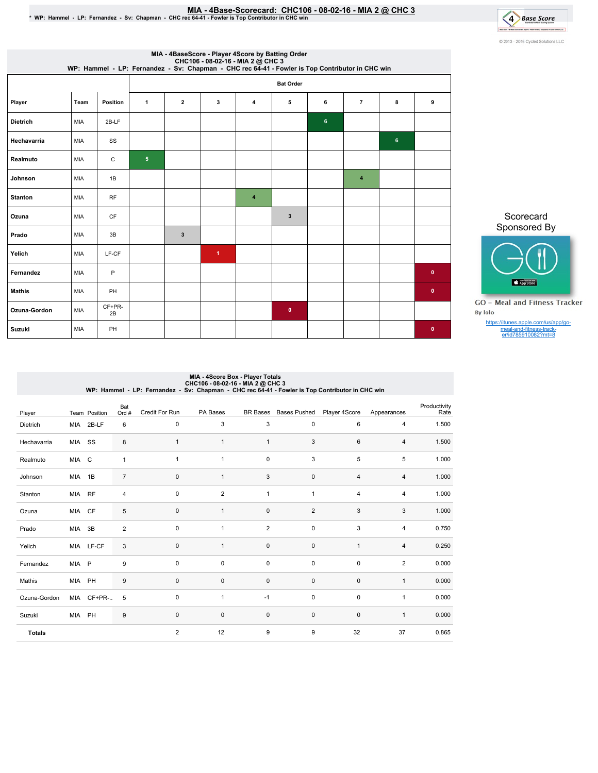## MIA - 4Base-Scorecard: CHC106 - 08-02-16 - MIA 2 @ CHC 3 ـ WIA - 4Base-Scorecard: CHC106 - 08-02-16 - MIA<br>• WP: Hammel - LP: Fernandez - Sv: Chapman - CHC rec 64-41 - Fowler is Top Contributor in CHC win



|                 | MIA - 4BaseScore - Player 4Score by Batting Order<br>CHC106 - 08-02-16 - MIA 2 @ CHC 3<br>WP: Hammel - LP: Fernandez - Sv: Chapman - CHC rec 64-41 - Fowler is Top Contributor in CHC win |              |                |                |                      |                |                  |   |                |                |              |  |  |
|-----------------|-------------------------------------------------------------------------------------------------------------------------------------------------------------------------------------------|--------------|----------------|----------------|----------------------|----------------|------------------|---|----------------|----------------|--------------|--|--|
|                 |                                                                                                                                                                                           |              |                |                |                      |                | <b>Bat Order</b> |   |                |                |              |  |  |
| Player          | Team                                                                                                                                                                                      | Position     | $\mathbf{1}$   | $\overline{2}$ | 3                    | 4              | 5                | 6 | $\overline{7}$ | 8              | 9            |  |  |
| <b>Dietrich</b> | <b>MIA</b>                                                                                                                                                                                | $2B-LF$      |                |                |                      |                |                  | 6 |                |                |              |  |  |
| Hechavarria     | <b>MIA</b>                                                                                                                                                                                | SS           |                |                |                      |                |                  |   |                | 6 <sup>5</sup> |              |  |  |
| Realmuto        | <b>MIA</b>                                                                                                                                                                                | С            | 5 <sup>5</sup> |                |                      |                |                  |   |                |                |              |  |  |
| Johnson         | MIA                                                                                                                                                                                       | 1B           |                |                |                      |                |                  |   | $\overline{4}$ |                |              |  |  |
| <b>Stanton</b>  | <b>MIA</b>                                                                                                                                                                                | <b>RF</b>    |                |                |                      | $\overline{4}$ |                  |   |                |                |              |  |  |
| Ozuna           | <b>MIA</b>                                                                                                                                                                                | <b>CF</b>    |                |                |                      |                | 3                |   |                |                |              |  |  |
| Prado           | MIA                                                                                                                                                                                       | 3B           |                | $\mathbf{3}$   |                      |                |                  |   |                |                |              |  |  |
| Yelich          | <b>MIA</b>                                                                                                                                                                                | LF-CF        |                |                | $\blacktriangleleft$ |                |                  |   |                |                |              |  |  |
| Fernandez       | <b>MIA</b>                                                                                                                                                                                | P            |                |                |                      |                |                  |   |                |                | $\mathbf{0}$ |  |  |
| <b>Mathis</b>   | <b>MIA</b>                                                                                                                                                                                | PH           |                |                |                      |                |                  |   |                |                | $\bullet$    |  |  |
| Ozuna-Gordon    | <b>MIA</b>                                                                                                                                                                                | CF+PR-<br>2B |                |                |                      |                | $\bullet$        |   |                |                |              |  |  |
| Suzuki          | MIA                                                                                                                                                                                       | PH           |                |                |                      |                |                  |   |                |                | $\mathbf{0}$ |  |  |

Scorecard Sponsored By



**GO** - Meal and Fitness Tracker By Iolo

https://itunes.apple.com/us/app/go-meal-and-fitness-track-er/id785910082?mt=8

# MIA - 4Score Box - Player Totals<br>CHC106 - 08-02-16 CHC - 08-02-16<br>WP: Hammel - LP: Fernandez - Sv: Chapman - CHC rec 64-41 - Fowler is Top Contributor in CHC win

| Player        |        | Team Position | Bat<br>Ord #            | Credit For Run | PA Bases       | <b>BR</b> Bases | <b>Bases Pushed</b> | Player 4Score  | Appearances    | Productivity<br>Rate |
|---------------|--------|---------------|-------------------------|----------------|----------------|-----------------|---------------------|----------------|----------------|----------------------|
| Dietrich      |        | MIA 2B-LF     | 6                       | $\mathbf 0$    | 3              | 3               | 0                   | 6              | $\overline{4}$ | 1.500                |
| Hechavarria   | MIA SS |               | 8                       | $\mathbf{1}$   | $\mathbf{1}$   | $\mathbf{1}$    | 3                   | 6              | $\overline{4}$ | 1.500                |
| Realmuto      | MIA C  |               | $\mathbf{1}$            | 1              |                | $\pmb{0}$       | 3                   | 5              | 5              | 1.000                |
| Johnson       | MIA 1B |               | $\overline{7}$          | $\mathbf 0$    | $\mathbf{1}$   | 3               | $\pmb{0}$           | $\overline{4}$ | $\sqrt{4}$     | 1.000                |
| Stanton       | MIA RF |               | 4                       | 0              | $\overline{2}$ | 1               | $\mathbf{1}$        | 4              | $\overline{4}$ | 1.000                |
| Ozuna         | MIA CF |               | 5                       | 0              | $\mathbf{1}$   | $\pmb{0}$       | $\overline{2}$      | 3              | 3              | 1.000                |
| Prado         | MIA 3B |               | $\overline{\mathbf{c}}$ | $\mathbf 0$    | 1              | $\sqrt{2}$      | $\pmb{0}$           | 3              | $\overline{4}$ | 0.750                |
| Yelich        |        | MIA LF-CF     | 3                       | 0              | $\mathbf{1}$   | $\pmb{0}$       | 0                   | $\mathbf{1}$   | $\overline{4}$ | 0.250                |
| Fernandez     | MIA P  |               | 9                       | $\mathbf 0$    | $\mathbf 0$    | $\mathbf 0$     | $\pmb{0}$           | $\mathbf 0$    | 2              | 0.000                |
| Mathis        | MIA PH |               | 9                       | 0              | $\pmb{0}$      | $\pmb{0}$       | $\pmb{0}$           | $\mathbf 0$    | $\mathbf{1}$   | 0.000                |
| Ozuna-Gordon  |        | MIA CF+PR-    | 5                       | 0              |                | $-1$            | 0                   | 0              | $\mathbf{1}$   | 0.000                |
| Suzuki        | MIA PH |               | 9                       | 0              | $\pmb{0}$      | $\mathbf 0$     | $\pmb{0}$           | 0              | $\mathbf{1}$   | 0.000                |
| <b>Totals</b> |        |               |                         | 2              | 12             | 9               | 9                   | 32             | 37             | 0.865                |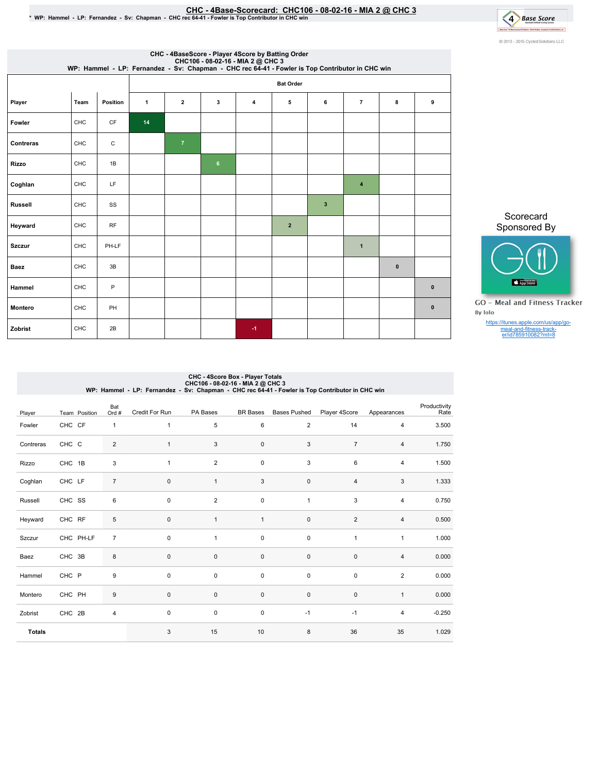## EHC-4Base-Scorecard: CHC106-08-02-16-MIA2@ CHC3<br>\* WP: Hammel - LP: Fernandez - Sv: Chapman - CHC rec 64-41-Fowler is Top Contributor in CHC win



|                | CHC - 4BaseScore - Player 4Score by Batting Order<br>CHC106 - 08-02-16 - MIA 2 @ CHC 3<br>WP: Hammel - LP: Fernandez - Sv: Chapman - CHC rec 64-41 - Fowler is Top Contributor in CHC win |           |    |                  |                |           |                |                         |                         |              |              |  |  |
|----------------|-------------------------------------------------------------------------------------------------------------------------------------------------------------------------------------------|-----------|----|------------------|----------------|-----------|----------------|-------------------------|-------------------------|--------------|--------------|--|--|
|                |                                                                                                                                                                                           |           |    | <b>Bat Order</b> |                |           |                |                         |                         |              |              |  |  |
| Player         | Team                                                                                                                                                                                      | Position  | 1  | $\mathbf{2}$     | 3              | $\pmb{4}$ | 5              | 6                       | $\overline{7}$          | 8            | 9            |  |  |
| Fowler         | CHC                                                                                                                                                                                       | CF        | 14 |                  |                |           |                |                         |                         |              |              |  |  |
| Contreras      | CHC                                                                                                                                                                                       | C         |    | $\overline{7}$   |                |           |                |                         |                         |              |              |  |  |
| <b>Rizzo</b>   | CHC                                                                                                                                                                                       | 1B        |    |                  | $6\phantom{a}$ |           |                |                         |                         |              |              |  |  |
| Coghlan        | CHC                                                                                                                                                                                       | LF.       |    |                  |                |           |                |                         | $\overline{\mathbf{4}}$ |              |              |  |  |
| <b>Russell</b> | CHC                                                                                                                                                                                       | SS        |    |                  |                |           |                | $\overline{\mathbf{3}}$ |                         |              |              |  |  |
| Heyward        | CHC                                                                                                                                                                                       | <b>RF</b> |    |                  |                |           | $\overline{2}$ |                         |                         |              |              |  |  |
| <b>Szczur</b>  | CHC                                                                                                                                                                                       | PH-LF     |    |                  |                |           |                |                         | $\mathbf{1}$            |              |              |  |  |
| <b>Baez</b>    | CHC                                                                                                                                                                                       | 3B        |    |                  |                |           |                |                         |                         | $\mathbf{0}$ |              |  |  |
| Hammel         | CHC                                                                                                                                                                                       | P         |    |                  |                |           |                |                         |                         |              | $\bf{0}$     |  |  |
| Montero        | CHC                                                                                                                                                                                       | PH        |    |                  |                |           |                |                         |                         |              | $\mathbf{0}$ |  |  |
| Zobrist        | CHC                                                                                                                                                                                       | 2B        |    |                  |                | $-1$      |                |                         |                         |              |              |  |  |

Scorecard Sponsored By



**GO** - Meal and Fitness Tracker By Iolo

https://itunes.apple.com/us/app/go-meal-and-fitness-track-er/id785910082?mt=8

# CHC - 4Score Box - Player Totals<br>CHC106 - 08-02-16 CHO CHO - 08-02-16<br>WP: Hammel - LP: Fernandez - Sv: Chapman - CHC rec 64-41 - Fowler is Top Contributor in CHC win

| Player        | Team Position | Bat<br>Ord #            | Credit For Run | PA Bases       | <b>BR</b> Bases | <b>Bases Pushed</b> | Player 4Score  | Appearances    | Productivity<br>Rate |
|---------------|---------------|-------------------------|----------------|----------------|-----------------|---------------------|----------------|----------------|----------------------|
| Fowler        | CHC CF        | $\mathbf{1}$            | $\mathbf{1}$   | 5              | 6               | $\overline{2}$      | 14             | $\overline{4}$ | 3.500                |
| Contreras     | CHC C         | $\overline{c}$          | $\mathbf{1}$   | 3              | 0               | 3                   | $\overline{7}$ | $\overline{4}$ | 1.750                |
| Rizzo         | CHC 1B        | $\mathsf 3$             | $\mathbf{1}$   | $\overline{2}$ | $\pmb{0}$       | 3                   | 6              | $\overline{4}$ | 1.500                |
| Coghlan       | CHC LF        | $\overline{7}$          | $\mathbf 0$    | $\mathbf{1}$   | 3               | $\pmb{0}$           | $\overline{4}$ | 3              | 1.333                |
| Russell       | CHC SS        | 6                       | $\mathbf 0$    | $\overline{2}$ | $\mathbf 0$     | $\mathbf{1}$        | 3              | $\overline{4}$ | 0.750                |
| Heyward       | CHC RF        | $\sqrt{5}$              | $\mathbf 0$    | $\mathbf{1}$   | $\mathbf{1}$    | $\pmb{0}$           | $\overline{2}$ | $\overline{4}$ | 0.500                |
| Szczur        | CHC PH-LF     | $\overline{7}$          | $\mathbf 0$    | $\overline{1}$ | $\pmb{0}$       | 0                   | $\mathbf{1}$   | $\mathbf{1}$   | 1.000                |
| Baez          | CHC 3B        | $\bf 8$                 | 0              | $\pmb{0}$      | 0               | $\pmb{0}$           | $\pmb{0}$      | $\overline{4}$ | 0.000                |
| Hammel        | CHC P         | 9                       | $\mathbf 0$    | $\pmb{0}$      | $\pmb{0}$       | 0                   | $\pmb{0}$      | $\overline{2}$ | 0.000                |
| Montero       | CHC PH        | $\boldsymbol{9}$        | 0              | $\pmb{0}$      | $\pmb{0}$       | $\pmb{0}$           | $\pmb{0}$      | $\mathbf{1}$   | 0.000                |
| Zobrist       | CHC 2B        | $\overline{\mathbf{4}}$ | $\mathbf 0$    | $\pmb{0}$      | $\pmb{0}$       | $-1$                | $-1$           | $\overline{4}$ | $-0.250$             |
| <b>Totals</b> |               |                         | 3              | 15             | 10              | 8                   | 36             | 35             | 1.029                |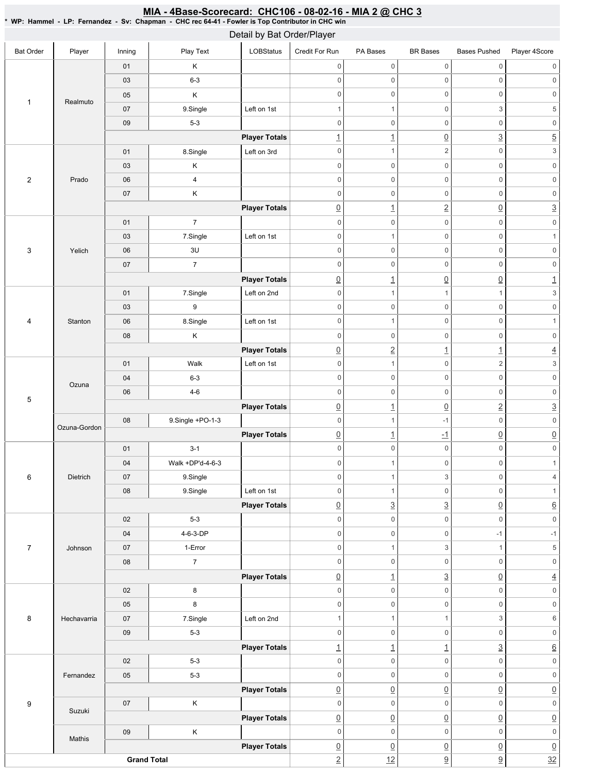#### Bat Order | Player | Inning | PlayText | LOBStatus Credit For Run PA Bases BR Bases Bases Pushed Player 4Score 1 Realmuto 01 K 03 6-3 05 K 07 9.Single Left on 1st 09 5-3 **Player Totals** 2 Prado 01 8.Single Left on 3rd 03 K 06 4 07 K **Player Totals** 3 Yelich 01 7 03 | 7.Single | Left on 1st 06 3U 07 7 **Player Totals** 4 Stanton 01 | 7.Single | Left on 2nd 03 9 06 | 8.Single | Left on 1st 08 K **Player Totals** 5 Ozuna 01 | Walk Left on 1st 04 6-3 06 4-6 **Player Totals** Ozuna-Gordon 08 9.Single +PO-1-3 **Player Totals** 6 Dietrich  $01$  3-1 04 Walk +DP'd-4-6-3 07 9.Single 08 | 9.Single | Left on 1st **Player Totals** 7 Johnson 02 5-3 04 **4-6-3-DP** 07 1-Error 08 7 **Player Totals** 8 Hechavarria 02 8 05 8 07 7.Single Left on 2nd 09 5-3 **Player Totals** 9 Fernandez 02 5-3 05 5-3 **Player Totals** Suzuki 07 K **Player Totals** Mathis 09 K **Player Totals** 0 0 0 0 0 0 0 0 0 0 0 0 0 0 0 0 0 0 1 1 0 3 5 0 0 0 0 0 0 1  $\begin{array}{ccc} 1 & 0 & 3 & 5 \end{array}$ 0 1 2 0 3 0 0 0 0 0 0 0 0 0 0 0 0 0 0 0 0 0 0 0 1 2 0 3 0 0 0 0 0 0 0 0 1 0 1 0 0 0 0 0 0 0 0 0 0 0 0  $\boxed{0}$  1 0  $\boxed{0}$  1 0 1 1 1  $1$  3 0 0 0 0 0 0 0 0 0 1 0 0 0 0 0 0 0 2 1 1 4 0 1 0 2 3 0 0 0 0 0 0 0 0 0 0 0 0 0 1 0 2 3 0 1 -1 0 0  $\boxed{0}$   $\boxed{1}$   $\boxed{-1}$   $\boxed{0}$   $\boxed{0}$ 0 0 0 0 0 0 0 0 1 0 1 0 1 3 0 4 0 0 1 0 1  $\boxed{0}$   $\boxed{3}$   $\boxed{3}$   $\boxed{0}$   $\boxed{6}$ 0 0 0 0 0 0 0 0 -1 -1 0 1 3 1 5 0 0 0 0 0 0 0 1 3 0 4 0 0 0 0 0 0 0 0 0 0 0 0 1  $1$  1  $1$  3 6 0 0 0 0 0 0 1 1 1 3 6 0 0 0 0 0 0 0 0 0 0 0 0 0 0 0 0 0 0 0 0 0 0 0  $\overline{0}$   $\overline{0}$   $\overline{0}$   $\overline{0}$   $\overline{0}$   $\overline{0}$   $\overline{0}$ 0 0 0 0 0 0  $\overline{0}$   $\overline{0}$   $\overline{0}$   $\overline{0}$   $\overline{0}$   $\overline{0}$   $\overline{0}$ Detail by Bat Order/Player

2 12 9 9 32

**Grand Total** 

### <u>MIA - 4Base-Scorecard: CHC106 - 08-02-16 - MIA 2 @ CHC 3</u>

\* WP: Hammel - LP: Fernandez - Sv: Chapman - CHC rec 64-41 - Fowler is Top Contributor in CHC win